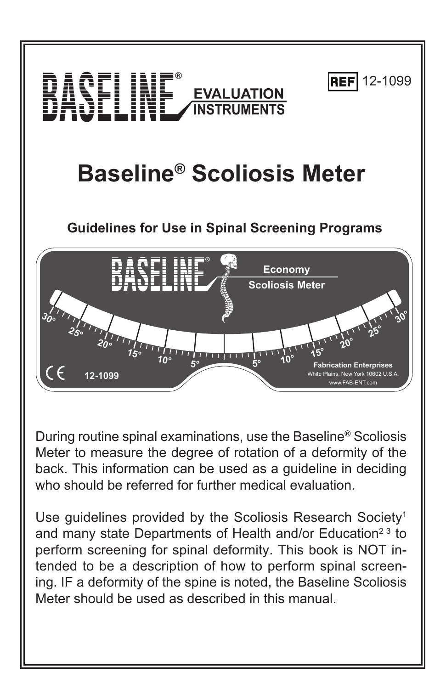

During routine spinal examinations, use the Baseline® Scoliosis Meter to measure the degree of rotation of a deformity of the back. This information can be used as a guideline in deciding who should be referred for further medical evaluation.

Use guidelines provided by the Scoliosis Research Society<sup>1</sup> and many state Departments of Health and/or Education<sup>23</sup> to perform screening for spinal deformity. This book is NOT intended to be a description of how to perform spinal screening. IF a deformity of the spine is noted, the Baseline Scoliosis Meter should be used as described in this manual.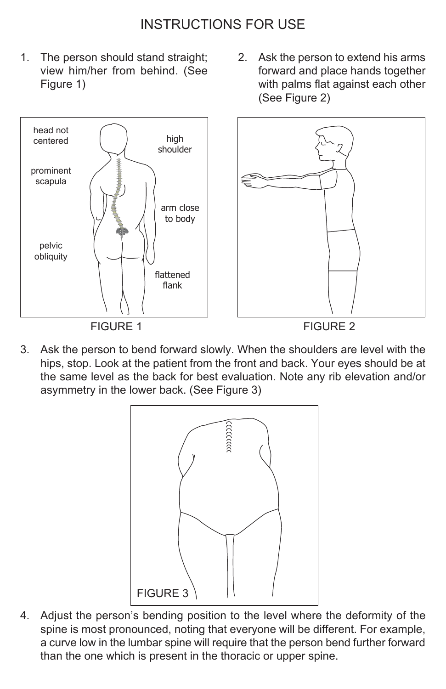## INSTRUCTIONS FOR USE

- 1. The person should stand straight; view him/her from behind. (See Figure 1)
- 2. Ask the person to extend his arms forward and place hands together with palms flat against each other (See Figure 2)



3. Ask the person to bend forward slowly. When the shoulders are level with the hips, stop. Look at the patient from the front and back. Your eyes should be at the same level as the back for best evaluation. Note any rib elevation and/or asymmetry in the lower back. (See Figure 3)



4. Adjust the person's bending position to the level where the deformity of the spine is most pronounced, noting that everyone will be different. For example, a curve low in the lumbar spine will require that the person bend further forward than the one which is present in the thoracic or upper spine.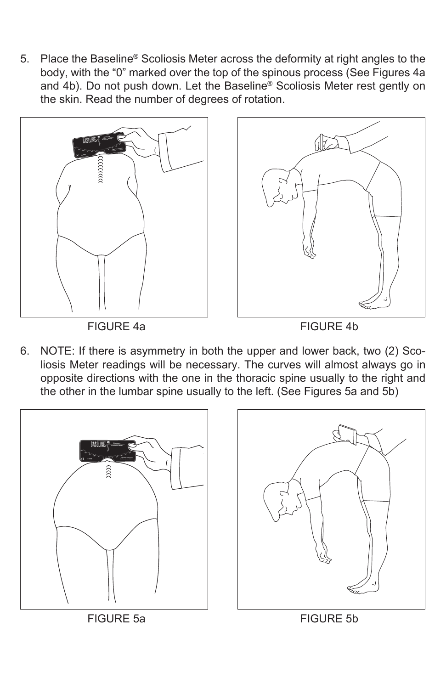5. Place the Baseline® Scoliosis Meter across the deformity at right angles to the body, with the "0" marked over the top of the spinous process (See Figures 4a and 4b). Do not push down. Let the Baseline® Scoliosis Meter rest gently on the skin. Read the number of degrees of rotation.





6. NOTE: If there is asymmetry in both the upper and lower back, two (2) Scoliosis Meter readings will be necessary. The curves will almost always go in opposite directions with the one in the thoracic spine usually to the right and the other in the lumbar spine usually to the left. (See Figures 5a and 5b)